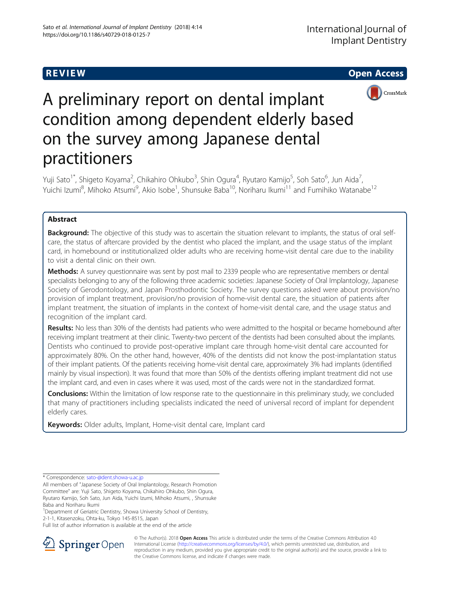

# A preliminary report on dental implant condition among dependent elderly based on the survey among Japanese dental practitioners

Yuji Sato<sup>1\*</sup>, Shigeto Koyama<sup>2</sup>, Chikahiro Ohkubo<sup>3</sup>, Shin Ogura<sup>4</sup>, Ryutaro Kamijo<sup>5</sup>, Soh Sato<sup>6</sup>, Jun Aida<sup>7</sup> , Yuichi Izumi<sup>8</sup>, Mihoko Atsumi<sup>9</sup>, Akio Isobe<sup>1</sup>, Shunsuke Baba<sup>10</sup>, Noriharu Ikumi<sup>11</sup> and Fumihiko Watanabe<sup>12</sup>

# **Abstract**

**Background:** The objective of this study was to ascertain the situation relevant to implants, the status of oral selfcare, the status of aftercare provided by the dentist who placed the implant, and the usage status of the implant card, in homebound or institutionalized older adults who are receiving home-visit dental care due to the inability to visit a dental clinic on their own.

Methods: A survey questionnaire was sent by post mail to 2339 people who are representative members or dental specialists belonging to any of the following three academic societies: Japanese Society of Oral Implantology, Japanese Society of Gerodontology, and Japan Prosthodontic Society. The survey questions asked were about provision/no provision of implant treatment, provision/no provision of home-visit dental care, the situation of patients after implant treatment, the situation of implants in the context of home-visit dental care, and the usage status and recognition of the implant card.

Results: No less than 30% of the dentists had patients who were admitted to the hospital or became homebound after receiving implant treatment at their clinic. Twenty-two percent of the dentists had been consulted about the implants. Dentists who continued to provide post-operative implant care through home-visit dental care accounted for approximately 80%. On the other hand, however, 40% of the dentists did not know the post-implantation status of their implant patients. Of the patients receiving home-visit dental care, approximately 3% had implants (identified mainly by visual inspection). It was found that more than 50% of the dentists offering implant treatment did not use the implant card, and even in cases where it was used, most of the cards were not in the standardized format.

**Conclusions:** Within the limitation of low response rate to the questionnaire in this preliminary study, we concluded that many of practitioners including specialists indicated the need of universal record of implant for dependent elderly cares.

Keywords: Older adults, Implant, Home-visit dental care, Implant card

Full list of author information is available at the end of the article



© The Author(s). 2018 Open Access This article is distributed under the terms of the Creative Commons Attribution 4.0 International License ([http://creativecommons.org/licenses/by/4.0/\)](http://creativecommons.org/licenses/by/4.0/), which permits unrestricted use, distribution, and reproduction in any medium, provided you give appropriate credit to the original author(s) and the source, provide a link to the Creative Commons license, and indicate if changes were made.

<sup>\*</sup> Correspondence: [sato-@dent.showa-u.ac.jp](mailto:sato-@dent.showa-u.ac.jp)

All members of "Japanese Society of Oral Implantology, Research Promotion Committee" are: Yuji Sato, Shigeto Koyama, Chikahiro Ohkubo, Shin Ogura, Ryutaro Kamijo, Soh Sato, Jun Aida, Yuichi Izumi, Mihoko Atsumi, , Shunsuke Baba and Noriharu Ikumi

<sup>&</sup>lt;sup>1</sup> Department of Geriatric Dentistry, Showa University School of Dentistry, 2-1-1, Kitasenzoku, Ohta-ku, Tokyo 145-8515, Japan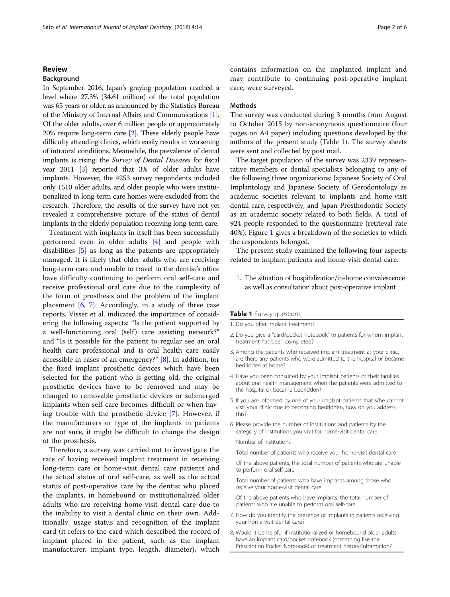#### **Review**

# **Background**

In September 2016, Japan's graying population reached a level where 27.3% (34.61 million) of the total population was 65 years or older, as announced by the Statistics Bureau of the Ministry of Internal Affairs and Communications [[1](#page-5-0)]. Of the older adults, over 6 million people or approximately 20% require long-term care [\[2](#page-5-0)]. These elderly people have difficulty attending clinics, which easily results in worsening of intraoral conditions. Meanwhile, the prevalence of dental implants is rising; the Survey of Dental Diseases for fiscal year 2011 [[3\]](#page-5-0) reported that 3% of older adults have implants. However, the 4253 survey respondents included only 1510 older adults, and older people who were institutionalized in long-term care homes were excluded from the research. Therefore, the results of the survey have not yet revealed a comprehensive picture of the status of dental implants in the elderly population receiving long-term care.

Treatment with implants in itself has been successfully performed even in older adults [[4\]](#page-5-0) and people with disabilities [[5\]](#page-5-0) as long as the patients are appropriately managed. It is likely that older adults who are receiving long-term care and unable to travel to the dentist's office have difficulty continuing to perform oral self-care and receive professional oral care due to the complexity of the form of prosthesis and the problem of the implant placement  $[6, 7]$  $[6, 7]$  $[6, 7]$ . Accordingly, in a study of three case reports, Visser et al. indicated the importance of considering the following aspects: "Is the patient supported by a well-functioning oral (self) care assisting network?" and "Is it possible for the patient to regular see an oral health care professional and is oral health care easily accessible in cases of an emergency?" [\[8](#page-5-0)]. In addition, for the fixed implant prosthetic devices which have been selected for the patient who is getting old, the original prosthetic devices have to be removed and may be changed to removable prosthetic devices or submerged implants when self-care becomes difficult or when having trouble with the prosthetic device [\[7](#page-5-0)]. However, if the manufacturers or type of the implants in patients are not sure, it might be difficult to change the design of the prosthesis.

Therefore, a survey was carried out to investigate the rate of having received implant treatment in receiving long-term care or home-visit dental care patients and the actual status of oral self-care, as well as the actual status of post-operative care by the dentist who placed the implants, in homebound or institutionalized older adults who are receiving home-visit dental care due to the inability to visit a dental clinic on their own. Additionally, usage status and recognition of the implant card (it refers to the card which described the record of implant placed in the patient, such as the implant manufacturer, implant type, length, diameter), which

contains information on the implanted implant and may contribute to continuing post-operative implant care, were surveyed.

#### Methods

The survey was conducted during 3 months from August to October 2015 by non-anonymous questionnaire (four pages on A4 paper) including questions developed by the authors of the present study (Table 1). The survey sheets were sent and collected by post mail.

The target population of the survey was 2339 representative members or dental specialists belonging to any of the following three organizations: Japanese Society of Oral Implantology and Japanese Society of Gerodontology as academic societies relevant to implants and home-visit dental care, respectively, and Japan Prosthodontic Society as an academic society related to both fields. A total of 924 people responded to the questionnaire (retrieval rate 40%). Figure [1](#page-2-0) gives a breakdown of the societies to which the respondents belonged.

The present study examined the following four aspects related to implant patients and home-visit dental care.

1. The situation of hospitalization/in-home convalescence as well as consultation about post-operative implant

#### Table 1 Survey questions

- 1. Do you offer implant treatment?
- 2. Do you give a "card/pocket notebook" to patients for whom implant treatment has been completed?
- 3. Among the patients who received implant treatment at your clinic, are there any patients who were admitted to the hospital or became bedridden at home?
- 4. Have you been consulted by your implant patients or their families about oral health management when the patients were admitted to the hospital or became bedridden?
- 5. If you are informed by one of your implant patients that s/he cannot visit your clinic due to becoming bedridden, how do you address this?
- 6. Please provide the number of institutions and patients by the category of institutions you visit for home-visit dental care.

Number of institutions

- Total number of patients who receive your home-visit dental care
- Of the above patients, the total number of patients who are unable to perform oral self-care
- Total number of patients who have implants among those who receive your home-visit dental care
- Of the above patients who have implants, the total number of patients who are unable to perform oral self-care
- 7. How do you identify the presence of implants in patients receiving your home-visit dental care?
- 8. Would it be helpful if institutionalized or homebound older adults have an implant card/pocket notebook (something like the Prescription Pocket Notebook) or treatment history/information?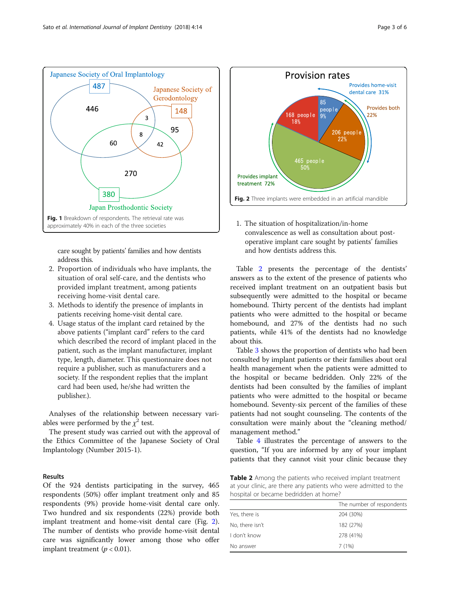<span id="page-2-0"></span>

care sought by patients' families and how dentists address this.

- 2. Proportion of individuals who have implants, the situation of oral self-care, and the dentists who provided implant treatment, among patients receiving home-visit dental care.
- 3. Methods to identify the presence of implants in patients receiving home-visit dental care.
- 4. Usage status of the implant card retained by the above patients ("implant card" refers to the card which described the record of implant placed in the patient, such as the implant manufacturer, implant type, length, diameter. This questionnaire does not require a publisher, such as manufacturers and a society. If the respondent replies that the implant card had been used, he/she had written the publisher.).

Analyses of the relationship between necessary variables were performed by the  $\chi^2$  test.

The present study was carried out with the approval of the Ethics Committee of the Japanese Society of Oral Implantology (Number 2015-1).

### Results

Of the 924 dentists participating in the survey, 465 respondents (50%) offer implant treatment only and 85 respondents (9%) provide home-visit dental care only. Two hundred and six respondents (22%) provide both implant treatment and home-visit dental care (Fig. 2). The number of dentists who provide home-visit dental care was significantly lower among those who offer implant treatment ( $p < 0.01$ ).



1. The situation of hospitalization/in-home convalescence as well as consultation about postoperative implant care sought by patients' families and how dentists address this.

Table 2 presents the percentage of the dentists' answers as to the extent of the presence of patients who received implant treatment on an outpatient basis but subsequently were admitted to the hospital or became homebound. Thirty percent of the dentists had implant patients who were admitted to the hospital or became homebound, and 27% of the dentists had no such patients, while 41% of the dentists had no knowledge about this.

Table [3](#page-3-0) shows the proportion of dentists who had been consulted by implant patients or their families about oral health management when the patients were admitted to the hospital or became bedridden. Only 22% of the dentists had been consulted by the families of implant patients who were admitted to the hospital or became homebound. Seventy-six percent of the families of these patients had not sought counseling. The contents of the consultation were mainly about the "cleaning method/ management method."

Table [4](#page-3-0) illustrates the percentage of answers to the question, "If you are informed by any of your implant patients that they cannot visit your clinic because they

Table 2 Among the patients who received implant treatment at your clinic, are there any patients who were admitted to the hospital or became bedridden at home?

|                 | The number of respondents |
|-----------------|---------------------------|
| Yes, there is   | 204 (30%)                 |
| No, there isn't | 182 (27%)                 |
| I don't know    | 278 (41%)                 |
| No answer       | 7(1%)                     |
|                 |                           |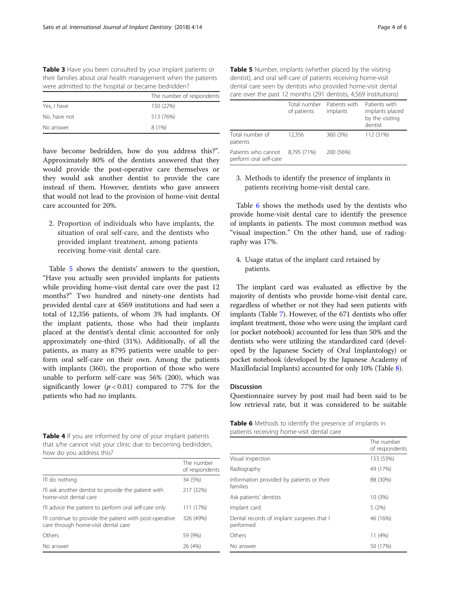<span id="page-3-0"></span>

| Table 3 Have you been consulted by your implant patients or   |
|---------------------------------------------------------------|
| their families about oral health management when the patients |
| were admitted to the hospital or became bedridden?            |

|              | The number of respondents |
|--------------|---------------------------|
| Yes, I have  | 150 (22%)                 |
| No, have not | 513 (76%)                 |
| No answer    | 8(1%)                     |

have become bedridden, how do you address this?". Approximately 80% of the dentists answered that they would provide the post-operative care themselves or they would ask another dentist to provide the care instead of them. However, dentists who gave answers that would not lead to the provision of home-visit dental care accounted for 20%.

2. Proportion of individuals who have implants, the situation of oral self-care, and the dentists who provided implant treatment, among patients receiving home-visit dental care.

Table 5 shows the dentists' answers to the question, "Have you actually seen provided implants for patients while providing home-visit dental care over the past 12 months?" Two hundred and ninety-one dentists had provided dental care at 4569 institutions and had seen a total of 12,356 patients, of whom 3% had implants. Of the implant patients, those who had their implants placed at the dentist's dental clinic accounted for only approximately one-third (31%). Additionally, of all the patients, as many as 8795 patients were unable to perform oral self-care on their own. Among the patients with implants (360), the proportion of those who were unable to perform self-care was 56% (200), which was significantly lower  $(p < 0.01)$  compared to 77% for the patients who had no implants.

Table 4 If you are informed by one of your implant patients that s/he cannot visit your clinic due to becoming bedridden, how do you address this?

|                                                                                                 | The number<br>of respondents |
|-------------------------------------------------------------------------------------------------|------------------------------|
| I'll do nothing                                                                                 | 34 (5%)                      |
| I'll ask another dentist to provide the patient with<br>home-visit dental care                  | 217 (32%)                    |
| I'll advice the patient to perform oral self-care only                                          | 111 (17%)                    |
| I'll continue to provide the patient with post-operative<br>care through home-visit dental care | 326 (49%)                    |
| Others                                                                                          | 59 (9%)                      |
| No answer                                                                                       | 26 (4%)                      |

Table 5 Number, implants (whether placed by the visiting dentist), and oral self-care of patients receiving home-visit dental care seen by dentists who provided home-visit dental care over the past 12 months (291 dentists, 4,569 institutions)

|                                               | Total number<br>of patients | Patients with<br>implants | Patients with<br>implants placed<br>by the visiting<br>dentist |
|-----------------------------------------------|-----------------------------|---------------------------|----------------------------------------------------------------|
| Total number of<br>patients                   | 12,356                      | 360 (3%)                  | 112 (31%)                                                      |
| Patients who cannot<br>perform oral self-care | 8.795 (71%)                 | 200 (56%)                 |                                                                |

## 3. Methods to identify the presence of implants in patients receiving home-visit dental care.

Table 6 shows the methods used by the dentists who provide home-visit dental care to identify the presence of implants in patients. The most common method was "visual inspection." On the other hand, use of radiography was 17%.

4. Usage status of the implant card retained by patients.

The implant card was evaluated as effective by the majority of dentists who provide home-visit dental care, regardless of whether or not they had seen patients with implants (Table [7\)](#page-4-0). However, of the 671 dentists who offer implant treatment, those who were using the implant card (or pocket notebook) accounted for less than 50% and the dentists who were utilizing the standardized card (developed by the Japanese Society of Oral Implantology) or pocket notebook (developed by the Japanese Academy of Maxillofacial Implants) accounted for only 10% (Table [8](#page-4-0)).

## Discussion

Questionnaire survey by post mail had been said to be low retrieval rate, but it was considered to be suitable

| <b>Table 6</b> Methods to identify the presence of implants in |  |
|----------------------------------------------------------------|--|
| patients receiving home-visit dental care                      |  |

|                                                         | The number<br>of respondents |
|---------------------------------------------------------|------------------------------|
| Visual inspection                                       | 153 (53%)                    |
| Radiography                                             | 49 (17%)                     |
| Information provided by patients or their<br>families   | 88 (30%)                     |
| Ask patients' dentists                                  | 10 (3%)                      |
| Implant card                                            | 5(2%)                        |
| Dental records of implant surgeries that I<br>performed | 46 (16%)                     |
| Others                                                  | 11(4%)                       |
| No answer                                               | 50 (17%)                     |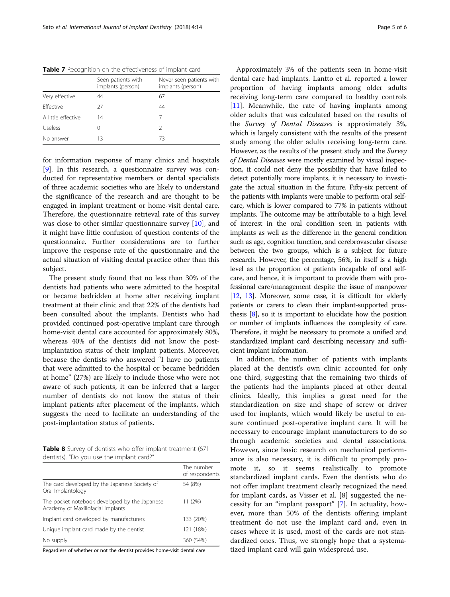<span id="page-4-0"></span>Table 7 Recognition on the effectiveness of implant card

|                    | Seen patients with<br>implants (person) | Never seen patients with<br>implants (person) |
|--------------------|-----------------------------------------|-----------------------------------------------|
| Very effective     | 44                                      | 67                                            |
| <b>Fffective</b>   | 27                                      | 44                                            |
| A little effective | 14                                      |                                               |
| Useless            |                                         | 2                                             |
| No answer          | 13                                      | 73                                            |

for information response of many clinics and hospitals [[9\]](#page-5-0). In this research, a questionnaire survey was conducted for representative members or dental specialists of three academic societies who are likely to understand the significance of the research and are thought to be engaged in implant treatment or home-visit dental care. Therefore, the questionnaire retrieval rate of this survey was close to other similar questionnaire survey [\[10\]](#page-5-0), and it might have little confusion of question contents of the questionnaire. Further considerations are to further improve the response rate of the questionnaire and the actual situation of visiting dental practice other than this subject.

The present study found that no less than 30% of the dentists had patients who were admitted to the hospital or became bedridden at home after receiving implant treatment at their clinic and that 22% of the dentists had been consulted about the implants. Dentists who had provided continued post-operative implant care through home-visit dental care accounted for approximately 80%, whereas 40% of the dentists did not know the postimplantation status of their implant patients. Moreover, because the dentists who answered "I have no patients that were admitted to the hospital or became bedridden at home" (27%) are likely to include those who were not aware of such patients, it can be inferred that a larger number of dentists do not know the status of their implant patients after placement of the implants, which suggests the need to facilitate an understanding of the post-implantation status of patients.

Table 8 Survey of dentists who offer implant treatment (671 dentists). "Do you use the implant card?"

|                                                                                    | The number<br>of respondents |
|------------------------------------------------------------------------------------|------------------------------|
| The card developed by the Japanese Society of<br>Oral Implantology                 | 54 (8%)                      |
| The pocket notebook developed by the Japanese<br>Academy of Maxillofacial Implants | 11 (2%)                      |
| Implant card developed by manufacturers                                            | 133 (20%)                    |
| Unique implant card made by the dentist                                            | 121 (18%)                    |
| No supply                                                                          | 360 (54%)                    |

Regardless of whether or not the dentist provides home-visit dental care

Approximately 3% of the patients seen in home-visit dental care had implants. Lantto et al. reported a lower proportion of having implants among older adults receiving long-term care compared to healthy controls [[11\]](#page-5-0). Meanwhile, the rate of having implants among older adults that was calculated based on the results of the Survey of Dental Diseases is approximately 3%, which is largely consistent with the results of the present study among the older adults receiving long-term care. However, as the results of the present study and the Survey of Dental Diseases were mostly examined by visual inspection, it could not deny the possibility that have failed to detect potentially more implants, it is necessary to investigate the actual situation in the future. Fifty-six percent of the patients with implants were unable to perform oral selfcare, which is lower compared to 77% in patients without implants. The outcome may be attributable to a high level of interest in the oral condition seen in patients with implants as well as the difference in the general condition such as age, cognition function, and cerebrovascular disease between the two groups, which is a subject for future research. However, the percentage, 56%, in itself is a high level as the proportion of patients incapable of oral selfcare, and hence, it is important to provide them with professional care/management despite the issue of manpower [[12](#page-5-0), [13\]](#page-5-0). Moreover, some case, it is difficult for elderly patients or carers to clean their implant-supported prosthesis [\[8](#page-5-0)], so it is important to elucidate how the position or number of implants influences the complexity of care. Therefore, it might be necessary to promote a unified and standardized implant card describing necessary and sufficient implant information.

In addition, the number of patients with implants placed at the dentist's own clinic accounted for only one third, suggesting that the remaining two thirds of the patients had the implants placed at other dental clinics. Ideally, this implies a great need for the standardization on size and shape of screw or driver used for implants, which would likely be useful to ensure continued post-operative implant care. It will be necessary to encourage implant manufacturers to do so through academic societies and dental associations. However, since basic research on mechanical performance is also necessary, it is difficult to promptly promote it, so it seems realistically to promote standardized implant cards. Even the dentists who do not offer implant treatment clearly recognized the need for implant cards, as Visser et al. [8] suggested the necessity for an "implant passport" [[7\]](#page-5-0). In actuality, however, more than 50% of the dentists offering implant treatment do not use the implant card and, even in cases where it is used, most of the cards are not standardized ones. Thus, we strongly hope that a systematized implant card will gain widespread use.